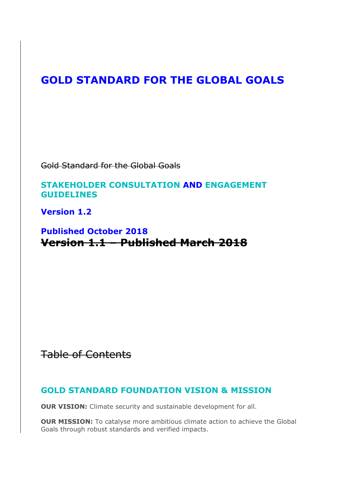# **GOLD STANDARD FOR THE GLOBAL GOALS**

Gold Standard for the Global Goals

### **STAKEHOLDER CONSULTATION AND ENGAGEMENT GUIDELINES**

**Version 1.2** 

# **Published October 2018 Version 1.1 – Published March 2018**

Table of Contents

## **GOLD STANDARD FOUNDATION VISION & MISSION**

**OUR VISION:** Climate security and sustainable development for all.

**OUR MISSION:** To catalyse more ambitious climate action to achieve the Global Goals through robust standards and verified impacts.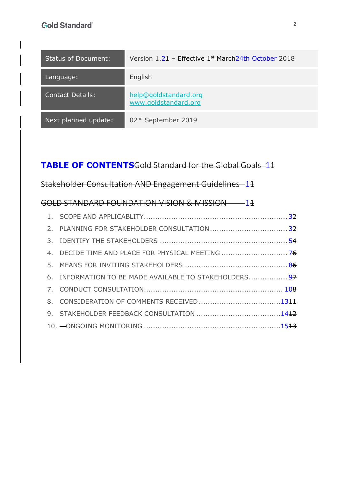| <b>Status of Document:</b> | Version 1.2+ - Effective 1 <sup>st</sup> March 24th October 2018 |
|----------------------------|------------------------------------------------------------------|
| Language:                  | English                                                          |
| <b>Contact Details:</b>    | help@goldstandard.org<br>www.goldstandard.org                    |
| Next planned update:       | 02 <sup>nd</sup> September 2019                                  |

# **TABLE OF CONTENTS**Gold Standard for the Global Goals 11

Stakeholder Consultation AND Engagement Guidelines 11

|  | GOLD STANDARD FOUNDATION VISION & MISSION -- 14        |  |
|--|--------------------------------------------------------|--|
|  |                                                        |  |
|  |                                                        |  |
|  |                                                        |  |
|  |                                                        |  |
|  |                                                        |  |
|  | 6. INFORMATION TO BE MADE AVAILABLE TO STAKEHOLDERS 97 |  |
|  |                                                        |  |
|  |                                                        |  |
|  |                                                        |  |
|  |                                                        |  |
|  |                                                        |  |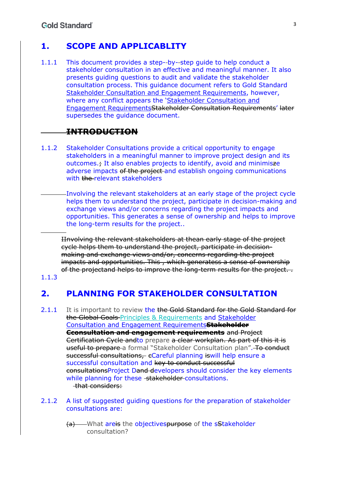### **1. SCOPE AND APPLICABLITY**

1.1.1 This document provides a step- by- step guide to help conduct a stakeholder consultation in an effective and meaningful manner. It also presents guiding questions to audit and validate the stakeholder consultation process. This guidance document refers to Gold Standard Stakeholder Consultation and Engagement Requirements, however, where any conflict appears the 'Stakeholder Consultation and Engagement RequirementsStakeholder Consultation Requirements' later supersedes the guidance document.

### **INTRODUCTION**

- 1.1.2 Stakeholder Consultations provide a critical opportunity to engage stakeholders in a meaningful manner to improve project design and its outcomes.; It also enables projects to identify, avoid and minimisze adverse impacts of the project and establish ongoing communications with the relevant stakeholders
	- Involving the relevant stakeholders at an early stage of the project cycle helps them to understand the project, participate in decision-making and exchange views and/or concerns regarding the project impacts and opportunities. This generates a sense of ownership and helps to improve the long-term results for the project..

IInvolving the relevant stakeholders at thean early stage of the project cycle helps them to understand the project, participate in decisionmaking and exchange views and/or, concerns regarding the project impacts and opportunities. This , which generatess a sense of ownership of the projectand helps to improve the long-term results for the project. .

1.1.3

## **2. PLANNING FOR STAKEHOLDER CONSULTATION**

- 2.1.1 It is important to review the the Gold Standard for the Gold Standard for the Global Goals Principles & Requirements and Stakeholder Consultation and Engagement Requirements**Stakeholder Cconsultation and engagement requirements** and Project Certification Cycle andto prepare a clear workplan. As part of this it is useful to prepare a formal "Stakeholder Consultation plan". To conduct successful consultations, eCareful planning is will help ensure a successful consultation and key to conduct successful consultationsProject Dand developers should consider the key elements while planning for these stakeholder consultations. that considers:
- 2.1.2 A list of suggested guiding questions for the preparation of stakeholder consultations are:
	- (a) What areis the objectivespurpose of the sStakeholder consultation?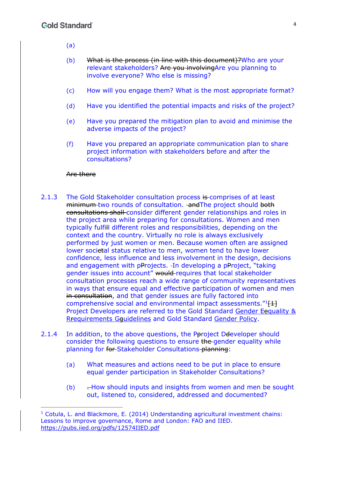- (a)
- (b) What is the process (in line with this document)?Who are your relevant stakeholders? Are you involvingAre you planning to involve everyone? Who else is missing?
- (c) How will you engage them? What is the most appropriate format?
- (d) Have you identified the potential impacts and risks of the project?
- (e) Have you prepared the mitigation plan to avoid and minimise the adverse impacts of the project?
- (f) Have you prepared an appropriate communication plan to share project information with stakeholders before and after the consultations?

#### Are there

- 2.1.3 The Gold Stakeholder consultation process is comprises of at least minimum two rounds of consultation. and The project should both consultations shall consider different gender relationships and roles in the project area while preparing for consultations. Women and men typically fulfill different roles and responsibilities, depending on the context and the country. Virtually no role is always exclusively performed by just women or men. Because women often are assigned lower societal status relative to men, women tend to have lower confidence, less influence and less involvement in the design, decisions and engagement with pProjects. In developing a pProject, "taking gender issues into account" would-requires that local stakeholder consultation processes reach a wide range of community representatives in ways that ensure equal and effective participation of women and men in consultation, and that gender issues are fully factored into comprehensive social and environmental impact assessments.<sup>"1</sup>[1] Project Developers are referred to the Gold Standard Gender Eequality & Rrequirements Gguidelines and Gold Standard Gender Policy.
- 2.1.4 In addition, to the above questions, the Poroject Deeveloper should consider the following questions to ensure the gender equality while planning for for Stakeholder Consultations planning:
	- (a) What measures and actions need to be put in place to ensure equal gender participation in Stakeholder Consultations?
	- (b)  $-How$  should inputs and insights from women and men be sought out, listened to, considered, addressed and documented?

<sup>&</sup>lt;sup>1</sup> Cotula, L. and Blackmore, E. (2014) Understanding agricultural investment chains: Lessons to improve governance, Rome and London: FAO and IIED. https://pubs.iied.org/pdfs/12574IIED.pdf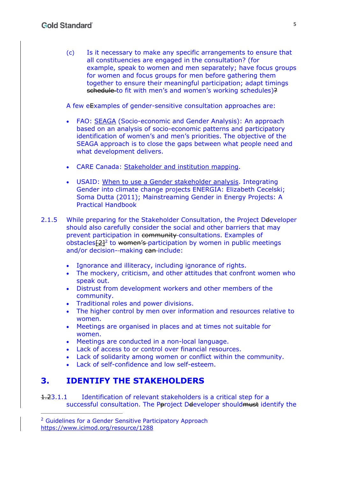(c) Is it necessary to make any specific arrangements to ensure that all constituencies are engaged in the consultation? (for example, speak to women and men separately; have focus groups for women and focus groups for men before gathering them together to ensure their meaningful participation; adapt timings schedule to fit with men's and women's working schedules)?

A few eExamples of gender-sensitive consultation approaches are:

- FAO: SEAGA (Socio-economic and Gender Analysis): An approach based on an analysis of socio-economic patterns and participatory identification of women's and men's priorities. The objective of the SEAGA approach is to close the gaps between what people need and what development delivers.
- CARE Canada: Stakeholder and institution mapping.
- USAID: When to use a Gender stakeholder analysis. Integrating Gender into climate change projects ENERGIA: Elizabeth Cecelski; Soma Dutta (2011); Mainstreaming Gender in Energy Projects: A Practical Handbook
- 2.1.5 While preparing for the Stakeholder Consultation, the Project Deeveloper should also carefully consider the social and other barriers that may prevent participation in community consultations. Examples of obstacles $\sqrt{2^2}$  to women's participation by women in public meetings and/or decision--making can-include:
	- Ignorance and illiteracy, including ignorance of rights.
	- The mockery, criticism, and other attitudes that confront women who speak out.
	- Distrust from development workers and other members of the community.
	- Traditional roles and power divisions.
	- The higher control by men over information and resources relative to women.
	- Meetings are organised in places and at times not suitable for women.
	- Meetings are conducted in a non-local language.
	- Lack of access to or control over financial resources.
	- Lack of solidarity among women or conflict within the community.
	- Lack of self-confidence and low self-esteem.

### **3. IDENTIFY THE STAKEHOLDERS**

1.23.1.1 Identification of relevant stakeholders is a critical step for a successful consultation. The Pproject Ddeveloper should must identify the

<sup>&</sup>lt;sup>2</sup> Guidelines for a Gender Sensitive Participatory Approach https://www.icimod.org/resource/1288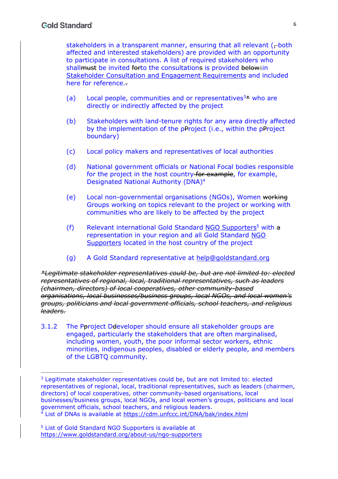stakeholders in a transparent manner, ensuring that all relevant (-both affected and interested stakeholders) are provided with an opportunity to participate in consultations. A list of required stakeholders who shallmust be invited forto the consultations is provided below-in Stakeholder Consultation and Engagement Requirements and included here for reference..

- (a) Local people, communities and or representatives<sup>3 $\pm$ </sup> who are directly or indirectly affected by the project
- (b) Stakeholders with land-tenure rights for any area directly affected by the implementation of the pProject (i.e., within the pProject boundary)
- (c) Local policy makers and representatives of local authorities
- (d) National government officials or National Focal bodies responsible for the project in the host country for example, for example, Designated National Authority (DNA)4
- (e) Local non-governmental organisations (NGOs), Women working Groups working on topics relevant to the project or working with communities who are likely to be affected by the project
- (f) Relevant international Gold Standard NGO Supporters<sup>5</sup> with  $a$ representation in your region and all Gold Standard NGO Supporters located in the host country of the project
- (g) A Gold Standard representative at help@goldstandard.org

*\*Legitimate stakeholder representatives could be, but are not limited to: elected representatives of regional, local, traditional representatives, such as leaders (chairmen, directors) of local cooperatives, other community-based organisations, local businesses/business groups, local NGOs, and local women's groups, politicians and local government officials, school teachers, and religious leaders.*

3.1.2 The Pproject Deeveloper should ensure all stakeholder groups are engaged, particularly the stakeholders that are often marginalised, including women, youth, the poor informal sector workers, ethnic minorities, indigenous peoples, disabled or elderly people, and members of the LGBTQ community.

5 List of Gold Standard NGO Supporters is available at https://www.goldstandard.org/about-us/ngo-supporters

<sup>3</sup> Legitimate stakeholder representatives could be, but are not limited to: elected representatives of regional, local, traditional representatives, such as leaders (chairmen, directors) of local cooperatives, other community-based organisations, local businesses/business groups, local NGOs, and local women's groups, politicians and local government officials, school teachers, and religious leaders. 4 List of DNAs is available at https://cdm.unfccc.int/DNA/bak/index.html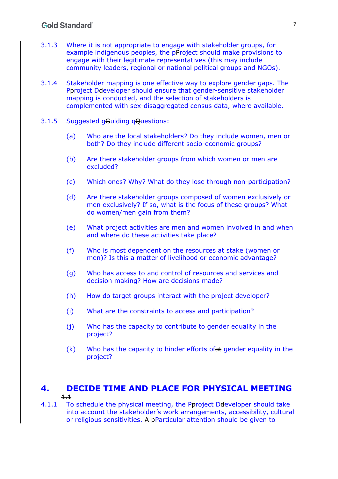#### **Gold Standard**

- 3.1.3 Where it is not appropriate to engage with stakeholder groups, for example indigenous peoples, the pProject should make provisions to engage with their legitimate representatives (this may include community leaders, regional or national political groups and NGOs).
- 3.1.4 Stakeholder mapping is one effective way to explore gender gaps. The Pproject Ddeveloper should ensure that gender-sensitive stakeholder mapping is conducted, and the selection of stakeholders is complemented with sex-disaggregated census data, where available.
- 3.1.5 Suggested gGuiding qQuestions:
	- (a) Who are the local stakeholders? Do they include women, men or both? Do they include different socio-economic groups?
	- (b) Are there stakeholder groups from which women or men are excluded?
	- (c) Which ones? Why? What do they lose through non-participation?
	- (d) Are there stakeholder groups composed of women exclusively or men exclusively? If so, what is the focus of these groups? What do women/men gain from them?
	- (e) What project activities are men and women involved in and when and where do these activities take place?
	- (f) Who is most dependent on the resources at stake (women or men)? Is this a matter of livelihood or economic advantage?
	- (g) Who has access to and control of resources and services and decision making? How are decisions made?
	- (h) How do target groups interact with the project developer?
	- (i) What are the constraints to access and participation?
	- (j) Who has the capacity to contribute to gender equality in the project?
	- $(k)$  Who has the capacity to hinder efforts of at gender equality in the project?

## **4. DECIDE TIME AND PLACE FOR PHYSICAL MEETING**

- 1.1
- 4.1.1 To schedule the physical meeting, the Pproject Ddeveloper should take into account the stakeholder's work arrangements, accessibility, cultural or religious sensitivities. A pParticular attention should be given to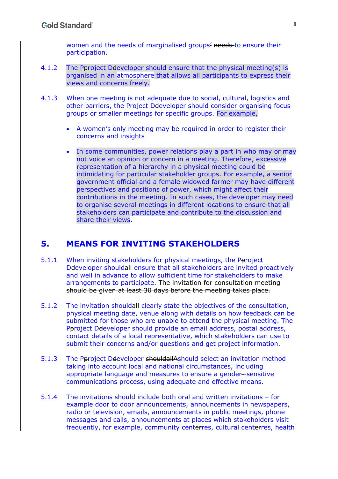women and the needs of marginalised groups<sup>2</sup> needs to ensure their participation.

- 4.1.2 The Paroject Deeveloper should ensure that the physical meeting(s) is organised in an atmosphere that allows all participants to express their views and concerns freely.
- 4.1.3 When one meeting is not adequate due to social, cultural, logistics and other barriers, the Project Ddeveloper should consider organising focus groups or smaller meetings for specific groups. For example,
	- A women's only meeting may be required in order to register their concerns and insights
	- In some communities, power relations play a part in who may or may not voice an opinion or concern in a meeting. Therefore, excessive representation of a hierarchy in a physical meeting could be intimidating for particular stakeholder groups. For example, a senior government official and a female widowed farmer may have different perspectives and positions of power, which might affect their contributions in the meeting. In such cases, the developer may need to organise several meetings in different locations to ensure that all stakeholders can participate and contribute to the discussion and share their views.

#### **5. MEANS FOR INVITING STAKEHOLDERS**

- 5.1.1 When inviting stakeholders for physical meetings, the Poroject Ddeveloper shouldall ensure that all stakeholders are invited proactively and well in advance to allow sufficient time for stakeholders to make arrangements to participate. The invitation for consultation meeting should be given at least 30 days before the meeting takes place.
- 5.1.2 The invitation shouldall clearly state the objectives of the consultation, physical meeting date, venue along with details on how feedback can be submitted for those who are unable to attend the physical meeting. The Pproject Ddeveloper should provide an email address, postal address, contact details of a local representative, which stakeholders can use to submit their concerns and/or questions and get project information.
- 5.1.3 The Pproject Ddeveloper shouldallAshould select an invitation method taking into account local and national circumstances, including appropriate language and measures to ensure a gender -sensitive communications process, using adequate and effective means.
- 5.1.4 The invitations should include both oral and written invitations for example door to door announcements, announcements in newspapers, radio or television, emails, announcements in public meetings, phone messages and calls, announcements at places which stakeholders visit frequently, for example, community centerres, cultural centerres, health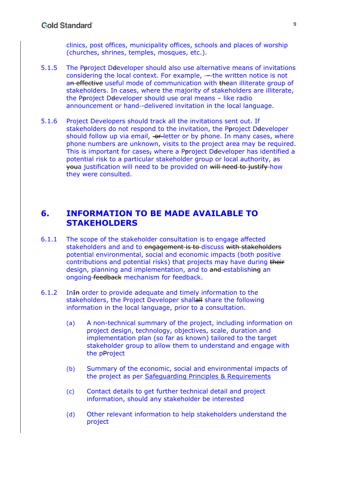clinics, post offices, municipality offices, schools and places of worship (churches, shrines, temples, mosques, etc.).

- 5.1.5 The Pproject Ddeveloper should also use alternative means of invitations considering the local context. For example, – the written notice is not an effective useful mode of communication with thean illiterate group of stakeholders. In cases, where the majority of stakeholders are illiterate, the Poroject Deeveloper should use oral means - like radio announcement or hand--delivered invitation in the local language.
- 5.1.6 Project Developers should track all the invitations sent out. If stakeholders do not respond to the invitation, the Pproject Ddeveloper should follow up via email, or letter or by phone. In many cases, where phone numbers are unknown, visits to the project area may be required. This is important for cases, where a Pproject Ddeveloper has identified a potential risk to a particular stakeholder group or local authority, as youa justification will need to be provided on will need to justify how they were consulted.

### **6. INFORMATION TO BE MADE AVAILABLE TO STAKEHOLDERS**

- 6.1.1 The scope of the stakeholder consultation is to engage affected stakeholders and and to engagement is to discuss with stakeholders potential environmental, social and economic impacts (both positive contributions and potential risks) that projects may have during their design, planning and implementation, and to and establishing an ongoing feedback mechanism for feedback.
- 6.1.2 InIn order to provide adequate and timely information to the stakeholders, the Project Developer shallall share the following information in the local language, prior to a consultation.
	- (a) A non-technical summary of the project, including information on project design, technology, objectives, scale, duration and implementation plan (so far as known) tailored to the target stakeholder group to allow them to understand and engage with the pProject
	- (b) Summary of the economic, social and environmental impacts of the project as per Safeguarding Principles & Requirements
	- (c) Contact details to get further technical detail and project information, should any stakeholder be interested
	- (d) Other relevant information to help stakeholders understand the project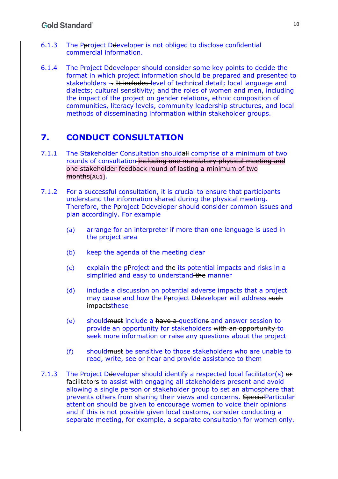- 6.1.3 The Pproject Ddeveloper is not obliged to disclose confidential commercial information.
- 6.1.4 The Project Ddeveloper should consider some key points to decide the format in which project information should be prepared and presented to stakeholders -- It includes level of technical detail; local language and dialects; cultural sensitivity; and the roles of women and men, including the impact of the project on gender relations, ethnic composition of communities, literacy levels, community leadership structures, and local methods of disseminating information within stakeholder groups.

# **7. CONDUCT CONSULTATION**

- 7.1.1 The Stakeholder Consultation shouldall comprise of a minimum of two rounds of consultation including one mandatory physical meeting and one stakeholder feedback round of lasting a minimum of two months[AG1].
- 7.1.2 For a successful consultation, it is crucial to ensure that participants understand the information shared during the physical meeting. Therefore, the Pproject Ddeveloper should consider common issues and plan accordingly. For example
	- (a) arrange for an interpreter if more than one language is used in the project area
	- (b) keep the agenda of the meeting clear
	- $(c)$  explain the pProject and the its potential impacts and risks in a simplified and easy to understand the manner
	- (d) include a discussion on potential adverse impacts that a project may cause and how the Pproject Ddeveloper will address such impactsthese
	- (e) shouldmust include a have a questions and answer session to provide an opportunity for stakeholders with an opportunity to seek more information or raise any questions about the project
	- (f) shouldmust be sensitive to those stakeholders who are unable to read, write, see or hear and provide assistance to them
- 7.1.3 The Project Deeveloper should identify a respected local facilitator(s) or facilitators to assist with engaging all stakeholders present and avoid allowing a single person or stakeholder group to set an atmosphere that prevents others from sharing their views and concerns. SpecialParticular attention should be given to encourage women to voice their opinions and if this is not possible given local customs, consider conducting a separate meeting, for example, a separate consultation for women only.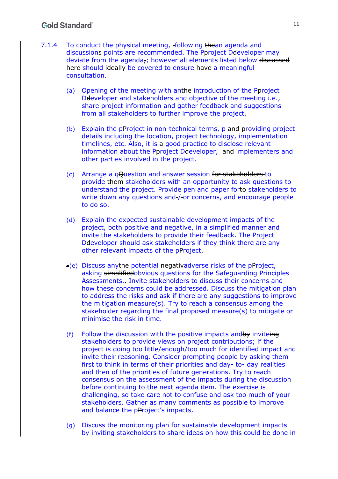#### **Gold Standard**

- 7.1.4 To conduct the physical meeting, following thean agenda and discussions points are recommended. The Pproject Ddeveloper may deviate from the agenda-; however all elements listed below discussed here should ideally be covered to ensure have a meaningful consultation.
	- (a) Opening of the meeting with anthe introduction of the Poroject De developer and stakeholders and objective of the meeting i.e., share project information and gather feedback and suggestions from all stakeholders to further improve the project.
	- (b) Explain the pProject in non-technical terms,  $p$ -and providing project details including the location, project technology, implementation timelines, etc. Also, it is  $a$ -good practice to disclose relevant information about the Pproject Ddeveloper, and implementers and other parties involved in the project.
	- (c) Arrange a qQuestion and answer session for stakeholders to provide them stakeholders with an opportunity to ask questions to understand the project. Provide pen and paper forto stakeholders to write down any questions and / or concerns, and encourage people to do so.
	- (d) Explain the expected sustainable development impacts of the project, both positive and negative, in a simplified manner and invite the stakeholders to provide their feedback. The Project Ddeveloper should ask stakeholders if they think there are any other relevant impacts of the pProject.
	- (e) Discuss anythe potential negativadverse risks of the pProject, asking simplifiedobvious questions for the Safeguarding Principles Assessments.. Invite stakeholders to discuss their concerns and how these concerns could be addressed. Discuss the mitigation plan to address the risks and ask if there are any suggestions to improve the mitigation measure(s). Try to reach a consensus among the stakeholder regarding the final proposed measure(s) to mitigate or minimise the risk in time.
	- (f) Follow the discussion with the positive impacts and by inviteing stakeholders to provide views on project contributions; if the project is doing too little/enough/too much for identified impact and invite their reasoning. Consider prompting people by asking them first to think in terms of their priorities and day- to- day realities and then of the priorities of future generations. Try to reach consensus on the assessment of the impacts during the discussion before continuing to the next agenda item. The exercise is challenging, so take care not to confuse and ask too much of your stakeholders. Gather as many comments as possible to improve and balance the pProject's impacts.
	- (g) Discuss the monitoring plan for sustainable development impacts by inviting stakeholders to share ideas on how this could be done in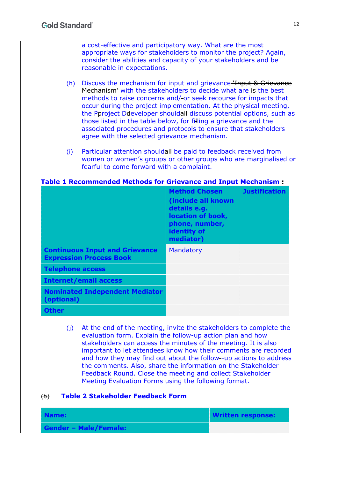a cost-effective and participatory way. What are the most appropriate ways for stakeholders to monitor the project? Again, consider the abilities and capacity of your stakeholders and be reasonable in expectations.

- (h) Discuss the mechanism for input and grievance 'Input & Grievance Mechanism' with the stakeholders to decide what are is the best methods to raise concerns and/ or seek recourse for impacts that occur during the project implementation. At the physical meeting, the Pproject Ddeveloper shouldall discuss potential options, such as those listed in the table below, for filling a grievance and the associated procedures and protocols to ensure that stakeholders agree with the selected grievance mechanism.
- (i) Particular attention shouldall be paid to feedback received from women or women's groups or other groups who are marginalised or fearful to come forward with a complaint.

|                                                                         | <b>Method Chosen</b><br>(include all known<br>details e.g.<br>location of book,<br>phone, number,<br>identity of<br>mediator) | <b>Justification</b> |
|-------------------------------------------------------------------------|-------------------------------------------------------------------------------------------------------------------------------|----------------------|
| <b>Continuous Input and Grievance</b><br><b>Expression Process Book</b> | Mandatory                                                                                                                     |                      |
| <b>Telephone access</b>                                                 |                                                                                                                               |                      |
| <b>Internet/email access</b>                                            |                                                                                                                               |                      |
| <b>Nominated Independent Mediator</b><br>(optional)                     |                                                                                                                               |                      |
| <b>Other</b>                                                            |                                                                                                                               |                      |

**Table 1 Recommended Methods for Grievance and Input Mechanism :** 

(j) At the end of the meeting, invite the stakeholders to complete the evaluation form. Explain the follow-up action plan and how stakeholders can access the minutes of the meeting. It is also important to let attendees know how their comments are recorded and how they may find out about the follow--up actions to address the comments. Also, share the information on the Stakeholder Feedback Round. Close the meeting and collect Stakeholder Meeting Evaluation Forms using the following format.

#### (b) **Table 2 Stakeholder Feedback Form**

| Name:                        | <b>Written response:</b> |
|------------------------------|--------------------------|
| <b>Gender - Male/Female:</b> |                          |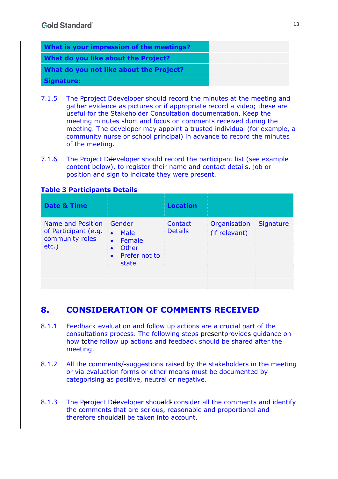| What is your impression of the meetings? |  |
|------------------------------------------|--|
| What do you like about the Project?      |  |
| What do you not like about the Project?  |  |
| Signature:                               |  |

- 7.1.5 The Pproject Deteveloper should record the minutes at the meeting and gather evidence as pictures or if appropriate record a video; these are useful for the Stakeholder Consultation documentation. Keep the meeting minutes short and focus on comments received during the meeting. The developer may appoint a trusted individual (for example, a community nurse or school principal) in advance to record the minutes of the meeting.
- 7.1.6 The Project Ddeveloper should record the participant list (see example content below), to register their name and contact details, job or position and sign to indicate they were present.

#### **Table 3 Participants Details**

| <b>Date &amp; Time</b>                                                   |                                                                                                                        | <b>Location</b>           |                               |                  |
|--------------------------------------------------------------------------|------------------------------------------------------------------------------------------------------------------------|---------------------------|-------------------------------|------------------|
| Name and Position<br>of Participant (e.g.<br>community roles<br>$etc.$ ) | Gender<br><b>Male</b><br>$\bullet$<br>Female<br>$\bullet$<br>Other<br>$\bullet$<br>Prefer not to<br>$\bullet$<br>state | Contact<br><b>Details</b> | Organisation<br>(if relevant) | <b>Signature</b> |

## **8. CONSIDERATION OF COMMENTS RECEIVED**

- 8.1.1 Feedback evaluation and follow up actions are a crucial part of the consultations process. The following steps presentprovides guidance on how tothe follow up actions and feedback should be shared after the meeting.
- 8.1.2 All the comments/ suggestions raised by the stakeholders in the meeting or via evaluation forms or other means must be documented by categorising as positive, neutral or negative.
- 8.1.3 The Pproject Ddeveloper shoualdl consider all the comments and identify the comments that are serious, reasonable and proportional and therefore shouldall be taken into account.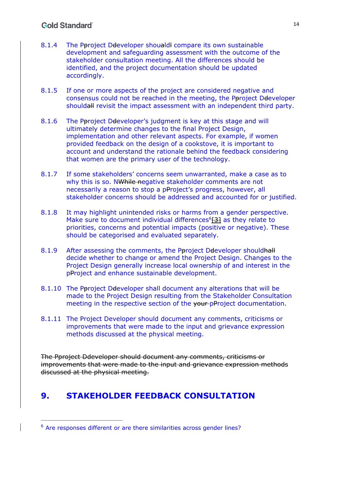- 8.1.4 The Peroject Detaveloper shouald compare its own sustainable development and safeguarding assessment with the outcome of the stakeholder consultation meeting. All the differences should be identified, and the project documentation should be updated accordingly.
- 8.1.5 If one or more aspects of the project are considered negative and consensus could not be reached in the meeting, the Pproject Ddeveloper shouldall revisit the impact assessment with an independent third party.
- 8.1.6 The Pproject Developer's judgment is key at this stage and will ultimately determine changes to the final Project Design, implementation and other relevant aspects. For example, if women provided feedback on the design of a cookstove, it is important to account and understand the rationale behind the feedback considering that women are the primary user of the technology.
- 8.1.7 If some stakeholders' concerns seem unwarranted, make a case as to why this is so. NWhile negative stakeholder comments are not necessarily a reason to stop a pProject's progress, however, all stakeholder concerns should be addressed and accounted for or justified.
- 8.1.8 It may highlight unintended risks or harms from a gender perspective. Make sure to document individual differences $6$ [3] as they relate to priorities, concerns and potential impacts (positive or negative). These should be categorised and evaluated separately.
- 8.1.9 After assessing the comments, the Pproject Deeveloper should hall decide whether to change or amend the Project Design. Changes to the Project Design generally increase local ownership of and interest in the pProject and enhance sustainable development.
- 8.1.10 The Pproject Ddeveloper shall document any alterations that will be made to the Project Design resulting from the Stakeholder Consultation meeting in the respective section of the your-pProject documentation.
- 8.1.11 The Project Developer should document any comments, criticisms or improvements that were made to the input and grievance expression methods discussed at the physical meeting.

The Pproject Ddeveloper should document any comments, criticisms or improvements that were made to the input and grievance expression methods discussed at the physical meeting.

## **9. STAKEHOLDER FEEDBACK CONSULTATION**

<sup>6</sup> Are responses different or are there similarities across gender lines?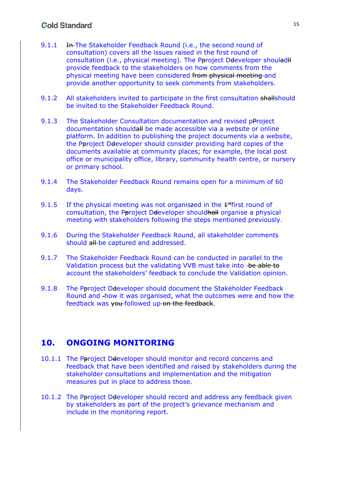#### **Gold Standard**

- 9.1.1 In-The Stakeholder Feedback Round (i.e., the second round of consultation) covers all the issues raised in the first round of consultation (i.e., physical meeting). The Pproject Ddeveloper shoulad H provide feedback to the stakeholders on how comments from the physical meeting have been considered from physical meeting and provide another opportunity to seek comments from stakeholders.
- 9.1.2 All stakeholders invited to participate in the first consultation shallshould be invited to the Stakeholder Feedback Round.
- 9.1.3 The Stakeholder Consultation documentation and revised pProject documentation shouldall be made accessible via a website or online platform. In addition to publishing the project documents via a website, the Pproject Ddeveloper should consider providing hard copies of the documents available at community places; for example, the local post office or municipality office, library, community health centre, or nursery or primary school.
- 9.1.4 The Stakeholder Feedback Round remains open for a minimum of 60 days.
- 9.1.5 If the physical meeting was not organiszed in the  $4<sup>st</sup>$  first round of consultation, the Pproject Ddeveloper shouldhall organise a physical meeting with stakeholders following the steps mentioned previously.
- 9.1.6 During the Stakeholder Feedback Round, all stakeholder comments should all be captured and addressed.
- 9.1.7 The Stakeholder Feedback Round can be conducted in parallel to the Validation process but the validating VVB must take into be able to account the stakeholders' feedback to conclude the Validation opinion.
- 9.1.8 The Pproject Deeveloper should document the Stakeholder Feedback Round and how it was organised, what the outcomes were and how the feedback was you followed up on the feedback.

### **10. ONGOING MONITORING**

- 10.1.1 The Pproject Deleveloper should monitor and record concerns and feedback that have been identified and raised by stakeholders during the stakeholder consultations and implementation and the mitigation measures put in place to address those.
- 10.1.2 The Pproject Deeveloper should record and address any feedback given by stakeholders as part of the project's grievance mechanism and include in the monitoring report.